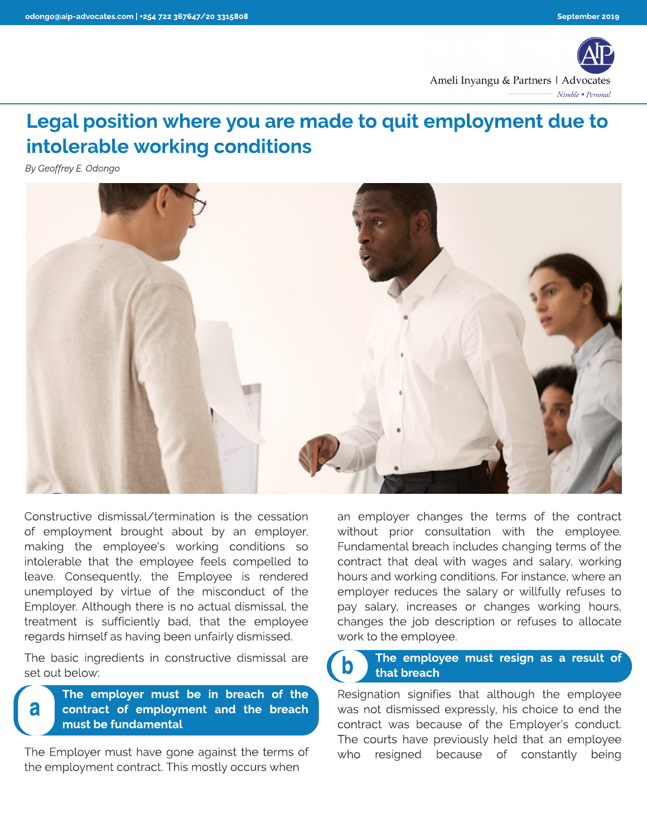

## Legal position where you are made to quit employment due to intolerable working conditions

**By Geoffrey E. Odongo**



Constructive dismissal/ termination is the cessation of employment brought about by an employer, making the employee's working conditions so intolerable that the employee feels compelled to leave. Consequently, the Employee is rendered unemployed by virtue of the misconduct of the Employer. Although there is no actual dismissal, the treatment is sufficiently bad, that the employee regards himself as having been unfairly dismissed.

The basic ingredients in constructive dismissal are set out below:

a

The employer must be in breach of the contract of employment and the breach must be fundamental

The Employer must have gone against the terms of the employment contract. This mostly occurs when

an employer changes the terms of the contract without prior consultation with the employee. Fundamental breach includes changing terms of the contract that deal with wages and salary, working hours and working conditions. For instance, where an employer reduces the salary or willfully refuses to pay salary, increases or changes working hours, changes the job description or refuses to allocate work to the employee.

## The employee must resign as a result of that breach b

Resignation signifies that although the employee was not dismissed expressly, his choice to end the contract was because of the Employer's conduct. The courts have previously held that an employee who resigned because of constantly being